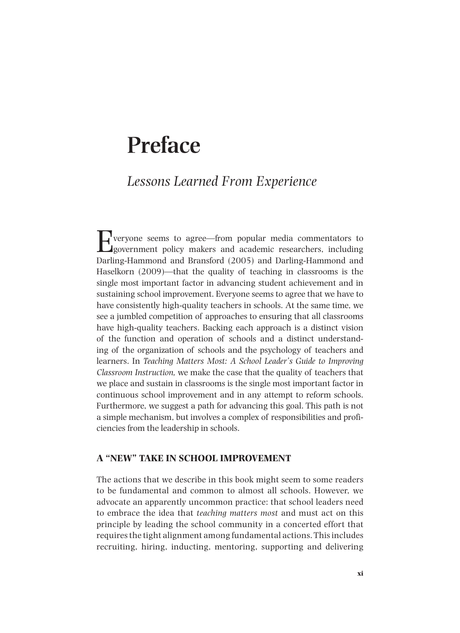# **Preface**

# *Lessons Learned From Experience*

 Everyone seems to agree—from popular media commentators to government policy makers and academic researchers, including Darling-Hammond and Bransford (2005) and Darling-Hammond and Haselkorn (2009)—that the quality of teaching in classrooms is the single most important factor in advancing student achievement and in sustaining school improvement. Everyone seems to agree that we have to have consistently high-quality teachers in schools. At the same time, we see a jumbled competition of approaches to ensuring that all classrooms have high-quality teachers. Backing each approach is a distinct vision of the function and operation of schools and a distinct understanding of the organization of schools and the psychology of teachers and learners. In *Teaching Matters Most: A School Leader's Guide to Improving Classroom Instruction,* we make the case that the quality of teachers that we place and sustain in classrooms is the single most important factor in continuous school improvement and in any attempt to reform schools. Furthermore, we suggest a path for advancing this goal. This path is not a simple mechanism, but involves a complex of responsibilities and proficiencies from the leadership in schools.

## **A "NEW" TAKE IN SCHOOL IMPROVEMENT**

 The actions that we describe in this book might seem to some readers to be fundamental and common to almost all schools. However, we advocate an apparently uncommon practice: that school leaders need to embrace the idea that *teaching matters most* and must act on this principle by leading the school community in a concerted effort that requires the tight alignment among fundamental actions. This includes recruiting, hiring, inducting, mentoring, supporting and delivering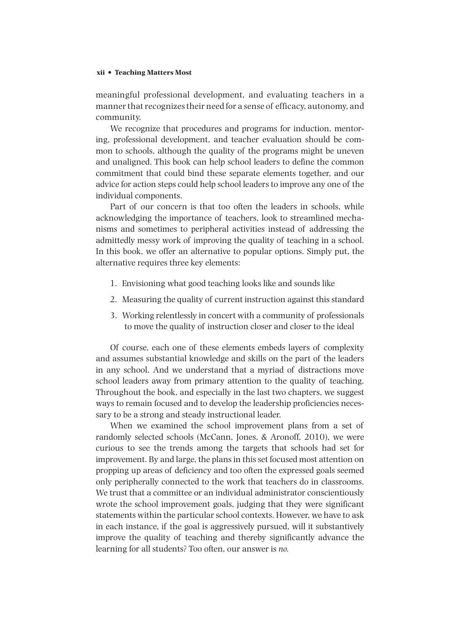#### **xii • Teaching Matters Most**

meaningful professional development, and evaluating teachers in a manner that recognizes their need for a sense of efficacy, autonomy, and community.

 We recognize that procedures and programs for induction, mentoring, professional development, and teacher evaluation should be common to schools, although the quality of the programs might be uneven and unaligned. This book can help school leaders to define the common commitment that could bind these separate elements together, and our advice for action steps could help school leaders to improve any one of the individual components.

 Part of our concern is that too often the leaders in schools, while acknowledging the importance of teachers, look to streamlined mechanisms and sometimes to peripheral activities instead of addressing the admittedly messy work of improving the quality of teaching in a school. In this book, we offer an alternative to popular options. Simply put, the alternative requires three key elements:

- 1. Envisioning what good teaching looks like and sounds like
- 2. Measuring the quality of current instruction against this standard
- 3. Working relentlessly in concert with a community of professionals to move the quality of instruction closer and closer to the ideal

 Of course, each one of these elements embeds layers of complexity and assumes substantial knowledge and skills on the part of the leaders in any school. And we understand that a myriad of distractions move school leaders away from primary attention to the quality of teaching. Throughout the book, and especially in the last two chapters, we suggest ways to remain focused and to develop the leadership proficiencies necessary to be a strong and steady instructional leader.

 When we examined the school improvement plans from a set of randomly selected schools (McCann, Jones, & Aronoff, 2010), we were curious to see the trends among the targets that schools had set for improvement. By and large, the plans in this set focused most attention on propping up areas of deficiency and too often the expressed goals seemed only peripherally connected to the work that teachers do in classrooms. We trust that a committee or an individual administrator conscientiously wrote the school improvement goals, judging that they were significant statements within the particular school contexts. However, we have to ask in each instance, if the goal is aggressively pursued, will it substantively improve the quality of teaching and thereby significantly advance the learning for all students? Too often, our answer is *no.*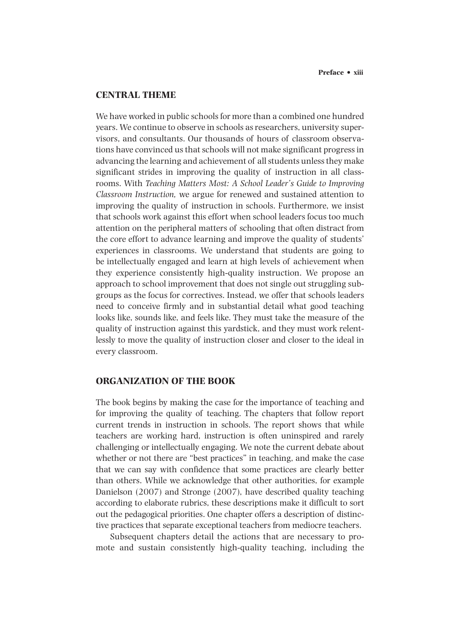#### **CENTRAL THEME**

 We have worked in public schools for more than a combined one hundred years. We continue to observe in schools as researchers, university supervisors, and consultants. Our thousands of hours of classroom observations have convinced us that schools will not make significant progress in advancing the learning and achievement of all students unless they make significant strides in improving the quality of instruction in all classrooms. With *Teaching Matters Most: A School Leader's Guide to Improving Classroom Instruction,* we argue for renewed and sustained attention to improving the quality of instruction in schools. Furthermore, we insist that schools work against this effort when school leaders focus too much attention on the peripheral matters of schooling that often distract from the core effort to advance learning and improve the quality of students' experiences in classrooms. We understand that students are going to be intellectually engaged and learn at high levels of achievement when they experience consistently high-quality instruction. We propose an approach to school improvement that does not single out struggling subgroups as the focus for correctives. Instead, we offer that schools leaders need to conceive firmly and in substantial detail what good teaching looks like, sounds like, and feels like. They must take the measure of the quality of instruction against this yardstick, and they must work relentlessly to move the quality of instruction closer and closer to the ideal in every classroom.

#### **ORGANIZATION OF THE BOOK**

 The book begins by making the case for the importance of teaching and for improving the quality of teaching. The chapters that follow report current trends in instruction in schools. The report shows that while teachers are working hard, instruction is often uninspired and rarely challenging or intellectually engaging. We note the current debate about whether or not there are "best practices" in teaching, and make the case that we can say with confidence that some practices are clearly better than others. While we acknowledge that other authorities, for example Danielson (2007) and Stronge (2007), have described quality teaching according to elaborate rubrics, these descriptions make it difficult to sort out the pedagogical priorities. One chapter offers a description of distinctive practices that separate exceptional teachers from mediocre teachers.

 Subsequent chapters detail the actions that are necessary to promote and sustain consistently high-quality teaching, including the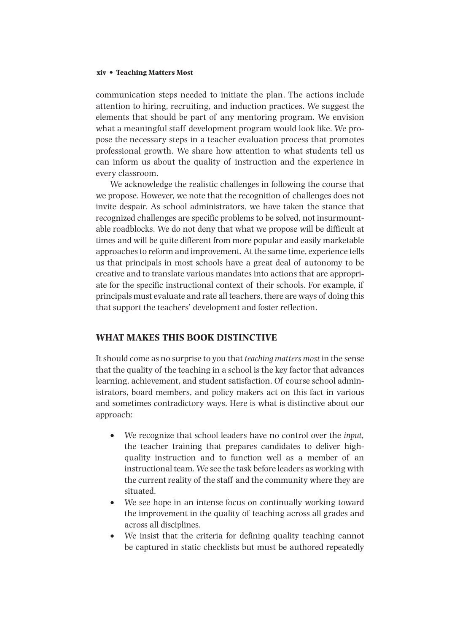#### **xiv • Teaching Matters Most**

communication steps needed to initiate the plan. The actions include attention to hiring, recruiting, and induction practices. We suggest the elements that should be part of any mentoring program. We envision what a meaningful staff development program would look like. We propose the necessary steps in a teacher evaluation process that promotes professional growth. We share how attention to what students tell us can inform us about the quality of instruction and the experience in every classroom.

 We acknowledge the realistic challenges in following the course that we propose. However, we note that the recognition of challenges does not invite despair. As school administrators, we have taken the stance that recognized challenges are specific problems to be solved, not insurmountable roadblocks. We do not deny that what we propose will be difficult at times and will be quite different from more popular and easily marketable approaches to reform and improvement. At the same time, experience tells us that principals in most schools have a great deal of autonomy to be creative and to translate various mandates into actions that are appropriate for the specific instructional context of their schools. For example, if principals must evaluate and rate all teachers, there are ways of doing this that support the teachers' development and foster reflection.

### **WHAT MAKES THIS BOOK DISTINCTIVE**

 It should come as no surprise to you that *teaching matters most* in the sense that the quality of the teaching in a school is the key factor that advances learning, achievement, and student satisfaction. Of course school administrators, board members, and policy makers act on this fact in various and sometimes contradictory ways. Here is what is distinctive about our approach:

- We recognize that school leaders have no control over the *input,* the teacher training that prepares candidates to deliver highquality instruction and to function well as a member of an instructional team. We see the task before leaders as working with the current reality of the staff and the community where they are situated.
- We see hope in an intense focus on continually working toward the improvement in the quality of teaching across all grades and across all disciplines.
- We insist that the criteria for defining quality teaching cannot be captured in static checklists but must be authored repeatedly